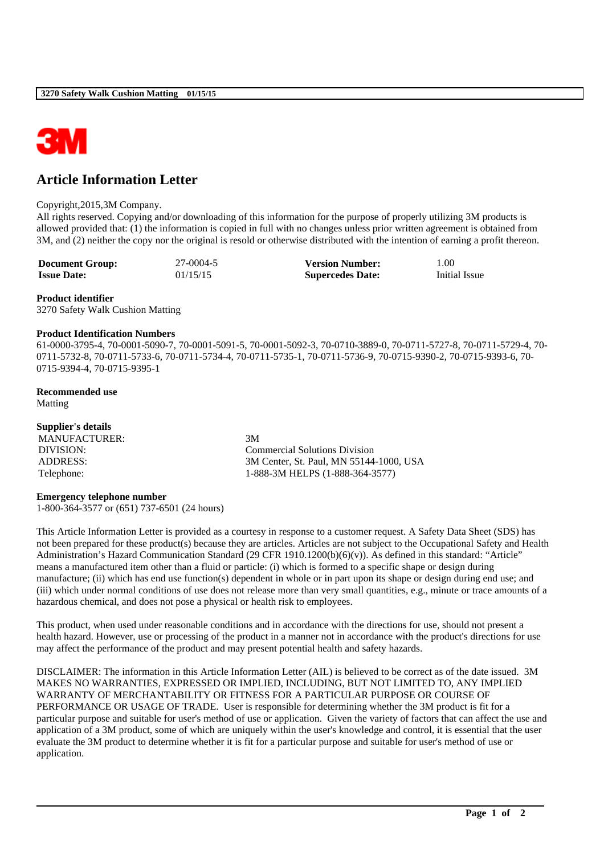

# **Article Information Letter**

#### Copyright,2015,3M Company.

All rights reserved. Copying and/or downloading of this information for the purpose of properly utilizing 3M products is allowed provided that: (1) the information is copied in full with no changes unless prior written agreement is obtained from 3M, and (2) neither the copy nor the original is resold or otherwise distributed with the intention of earning a profit thereon.

| <b>Document Group:</b> | 27-0004-5 | <b>Version Number:</b>  | 1.00          |
|------------------------|-----------|-------------------------|---------------|
| <b>Issue Date:</b>     | 01/15/15  | <b>Supercedes Date:</b> | Initial Issue |

# **Product identifier**

3270 Safety Walk Cushion Matting

#### **Product Identification Numbers**

61-0000-3795-4, 70-0001-5090-7, 70-0001-5091-5, 70-0001-5092-3, 70-0710-3889-0, 70-0711-5727-8, 70-0711-5729-4, 70- 0711-5732-8, 70-0711-5733-6, 70-0711-5734-4, 70-0711-5735-1, 70-0711-5736-9, 70-0715-9390-2, 70-0715-9393-6, 70- 0715-9394-4, 70-0715-9395-1

## **Recommended use**

Matting

| Supplier's details |                                         |
|--------------------|-----------------------------------------|
| MANUFACTURER:      | 3M                                      |
| DIVISION:          | Commercial Solutions Division           |
| ADDRESS:           | 3M Center, St. Paul, MN 55144-1000, USA |
| Telephone:         | 1-888-3M HELPS (1-888-364-3577)         |

### **Emergency telephone number**

1-800-364-3577 or (651) 737-6501 (24 hours)

This Article Information Letter is provided as a courtesy in response to a customer request. A Safety Data Sheet (SDS) has not been prepared for these product(s) because they are articles. Articles are not subject to the Occupational Safety and Health Administration's Hazard Communication Standard (29 CFR 1910.1200(b)(6)(v)). As defined in this standard: "Article" means a manufactured item other than a fluid or particle: (i) which is formed to a specific shape or design during manufacture; (ii) which has end use function(s) dependent in whole or in part upon its shape or design during end use; and (iii) which under normal conditions of use does not release more than very small quantities, e.g., minute or trace amounts of a hazardous chemical, and does not pose a physical or health risk to employees.

This product, when used under reasonable conditions and in accordance with the directions for use, should not present a health hazard. However, use or processing of the product in a manner not in accordance with the product's directions for use may affect the performance of the product and may present potential health and safety hazards.

DISCLAIMER: The information in this Article Information Letter (AIL) is believed to be correct as of the date issued. 3M MAKES NO WARRANTIES, EXPRESSED OR IMPLIED, INCLUDING, BUT NOT LIMITED TO, ANY IMPLIED WARRANTY OF MERCHANTABILITY OR FITNESS FOR A PARTICULAR PURPOSE OR COURSE OF PERFORMANCE OR USAGE OF TRADE. User is responsible for determining whether the 3M product is fit for a particular purpose and suitable for user's method of use or application. Given the variety of factors that can affect the use and application of a 3M product, some of which are uniquely within the user's knowledge and control, it is essential that the user evaluate the 3M product to determine whether it is fit for a particular purpose and suitable for user's method of use or application.

\_\_\_\_\_\_\_\_\_\_\_\_\_\_\_\_\_\_\_\_\_\_\_\_\_\_\_\_\_\_\_\_\_\_\_\_\_\_\_\_\_\_\_\_\_\_\_\_\_\_\_\_\_\_\_\_\_\_\_\_\_\_\_\_\_\_\_\_\_\_\_\_\_\_\_\_\_\_\_\_\_\_\_\_\_\_\_\_\_\_